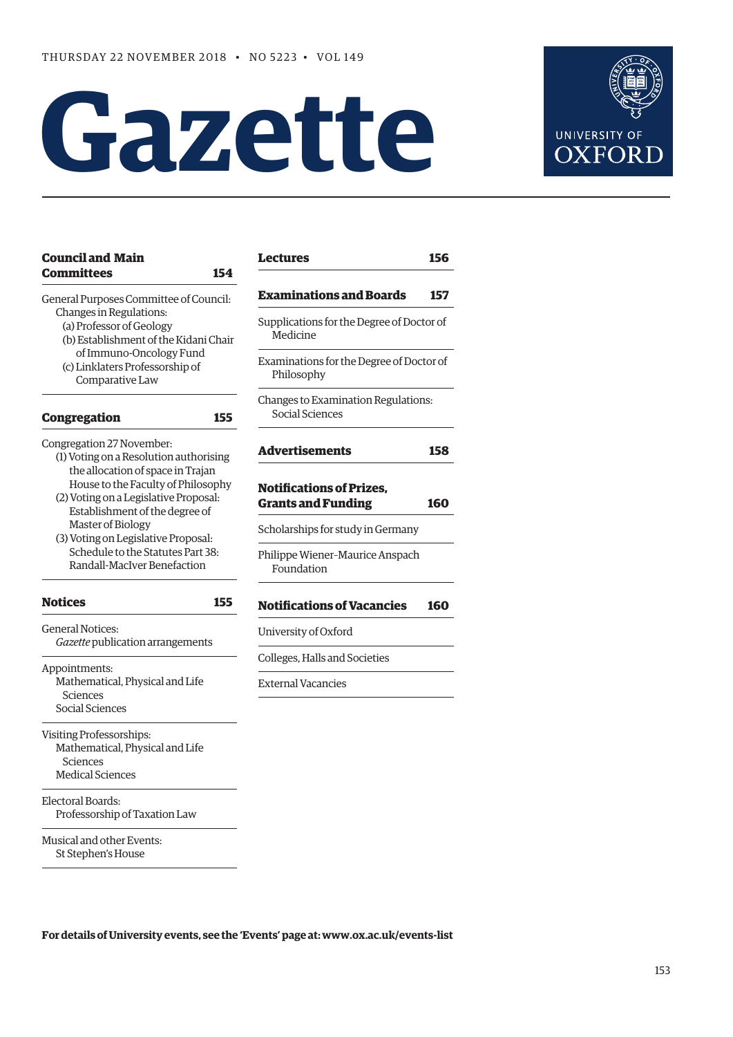# **Gazette**



**156** 

| <b>Council and Main</b><br><b>Committees</b><br>154                                                                                                                                                                     | <b>Lectures</b>                                               | 156 |
|-------------------------------------------------------------------------------------------------------------------------------------------------------------------------------------------------------------------------|---------------------------------------------------------------|-----|
| General Purposes Committee of Council:<br>Changes in Regulations:<br>(a) Professor of Geology<br>(b) Establishment of the Kidani Chair<br>of Immuno-Oncology Fund<br>(c) Linklaters Professorship of<br>Comparative Law | <b>Examinations and Boards</b>                                | 157 |
|                                                                                                                                                                                                                         | Supplications for the Degree of Doctor of<br>Medicine         |     |
|                                                                                                                                                                                                                         | Examinations for the Degree of Doctor of<br>Philosophy        |     |
| <b>Congregation</b><br>155                                                                                                                                                                                              | Changes to Examination Regulations:<br><b>Social Sciences</b> |     |
| Congregation 27 November:<br>(1) Voting on a Resolution authorising                                                                                                                                                     | <b>Advertisements</b>                                         | 158 |
| the allocation of space in Trajan<br>House to the Faculty of Philosophy<br>(2) Voting on a Legislative Proposal:<br>Establishment of the degree of                                                                      | <b>Notifications of Prizes.</b><br><b>Grants and Funding</b>  | 160 |
| Master of Biology<br>(3) Voting on Legislative Proposal:                                                                                                                                                                | Scholarships for study in Germany                             |     |
| Schedule to the Statutes Part 38:<br>Randall-MacIver Benefaction                                                                                                                                                        | Philippe Wiener-Maurice Anspach<br>Foundation                 |     |
| <b>Notices</b><br>155                                                                                                                                                                                                   | <b>Notifications of Vacancies</b>                             | 160 |
| <b>General Notices:</b><br>Gazette publication arrangements                                                                                                                                                             | University of Oxford                                          |     |
|                                                                                                                                                                                                                         | Colleges, Halls and Societies                                 |     |
| Appointments:<br>Mathematical, Physical and Life<br>Sciences<br>Social Sciences                                                                                                                                         | <b>External Vacancies</b>                                     |     |
|                                                                                                                                                                                                                         |                                                               |     |
| Visiting Professorships:<br>Mathematical, Physical and Life<br>Sciences<br><b>Medical Sciences</b>                                                                                                                      |                                                               |     |
| Electoral Boards:<br>Professorship of Taxation Law                                                                                                                                                                      |                                                               |     |
| Musical and other Events:<br>St Stephen's House                                                                                                                                                                         |                                                               |     |

**For details of University events, see the 'Events' page at: [www.ox.ac.uk/events-list](http://www.ox.ac.uk/events-list)**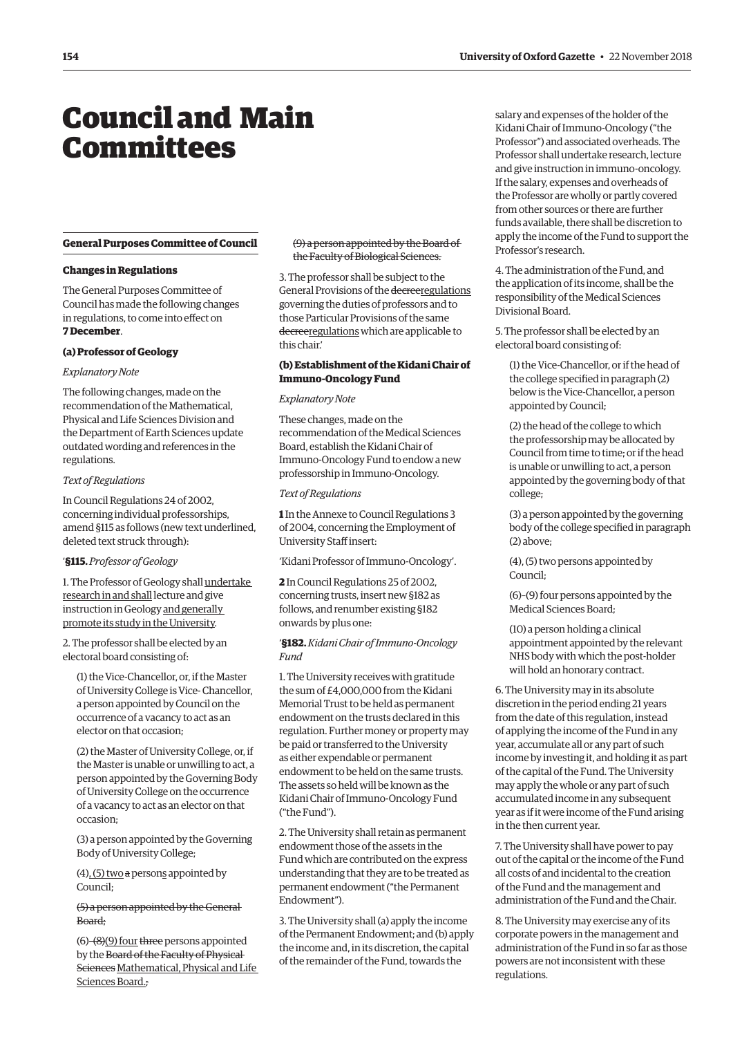## <span id="page-1-0"></span>Council and Main **Committees**

#### **General Purposes Committee of Council**

#### **Changes in Regulations**

The General Purposes Committee of Council has made the following changes in regulations, to come into effect on **7 December**.

#### **(a) Professor of Geology**

#### *Explanatory Note*

The following changes, made on the recommendation of the Mathematical, Physical and Life Sciences Division and the Department of Earth Sciences update outdated wording and references in the regulations.

#### *Text of Regulations*

In Council Regulations 24 of 2002, concerning individual professorships, amend §115 as follows (new text underlined, deleted text struck through):

#### '**§115.** *Professor of Geology*

1. The Professor of Geology shall undertake research in and shall lecture and give instruction in Geology and generally promote its study in the University.

2. The professor shall be elected by an electoral board consisting of:

(1) the Vice-Chancellor, or, if the Master of University College is Vice- Chancellor, a person appointed by Council on the occurrence of a vacancy to act as an elector on that occasion;

(2) the Master of University College, or, if the Master is unable or unwilling to act, a person appointed by the Governing Body of University College on the occurrence of a vacancy to act as an elector on that occasion;

(3) a person appointed by the Governing Body of University College;

 $(4)$ ,  $(5)$  two a persons appointed by Council;

(5) a person appointed by the General Board;

 $(6)$ – $(8)$  $(9)$  four three persons appointed by the Board of the Faculty of Physical Sciences Mathematical, Physical and Life Sciences Board.;

#### (9) a person appointed by the Board of the Faculty of Biological Sciences.

3. The professor shall be subject to the General Provisions of the decreeregulations governing the duties of professors and to those Particular Provisions of the same decreeregulations which are applicable to this chair.'

#### **(b) Establishment of the Kidani Chair of Immuno-Oncology Fund**

#### *Explanatory Note*

These changes, made on the recommendation of the Medical Sciences Board, establish the Kidani Chair of Immuno-Oncology Fund to endow a new professorship in Immuno-Oncology.

#### *Text of Regulations*

**1** In the Annexe to Council Regulations 3 of 2004, concerning the Employment of University Staff insert:

'Kidani Professor of Immuno-Oncology'.

**2** In Council Regulations 25 of 2002, concerning trusts, insert new §182 as follows, and renumber existing §182 onwards by plus one:

#### '**§182.** *Kidani Chair of Immuno-Oncology Fund*

1. The University receives with gratitude the sum of £4,000,000 from the Kidani Memorial Trust to be held as permanent endowment on the trusts declared in this regulation. Further money or property may be paid or transferred to the University as either expendable or permanent endowment to be held on the same trusts. The assets so held will be known as the Kidani Chair of Immuno-Oncology Fund ("the Fund").

2. The University shall retain as permanent endowment those of the assets in the Fund which are contributed on the express understanding that they are to be treated as permanent endowment ("the Permanent Endowment").

3. The University shall (a) apply the income of the Permanent Endowment; and (b) apply the income and, in its discretion, the capital of the remainder of the Fund, towards the

salary and expenses of the holder of the Kidani Chair of Immuno-Oncology ("the Professor") and associated overheads. The Professor shall undertake research, lecture and give instruction in immuno-oncology. If the salary, expenses and overheads of the Professor are wholly or partly covered from other sources or there are further funds available, there shall be discretion to apply the income of the Fund to support the Professor's research.

4. The administration of the Fund, and the application of its income, shall be the responsibility of the Medical Sciences Divisional Board.

5. The professor shall be elected by an electoral board consisting of:

(1) the Vice-Chancellor, or if the head of the college specified in paragraph (2) below is the Vice-Chancellor, a person appointed by Council;

(2) the head of the college to which the professorship may be allocated by Council from time to time; or if the head is unable or unwilling to act, a person appointed by the governing body of that college;

(3) a person appointed by the governing body of the college specified in paragraph (2) above;

(4), (5) two persons appointed by Council;

(6)–(9) four persons appointed by the Medical Sciences Board;

(10) a person holding a clinical appointment appointed by the relevant NHS body with which the post-holder will hold an honorary contract.

6. The University may in its absolute discretion in the period ending 21 years from the date of this regulation, instead of applying the income of the Fund in any year, accumulate all or any part of such income by investing it, and holding it as part of the capital of the Fund. The University may apply the whole or any part of such accumulated income in any subsequent year as if it were income of the Fund arising in the then current year.

7. The University shall have power to pay out of the capital or the income of the Fund all costs of and incidental to the creation of the Fund and the management and administration of the Fund and the Chair.

8. The University may exercise any of its corporate powers in the management and administration of the Fund in so far as those powers are not inconsistent with these regulations.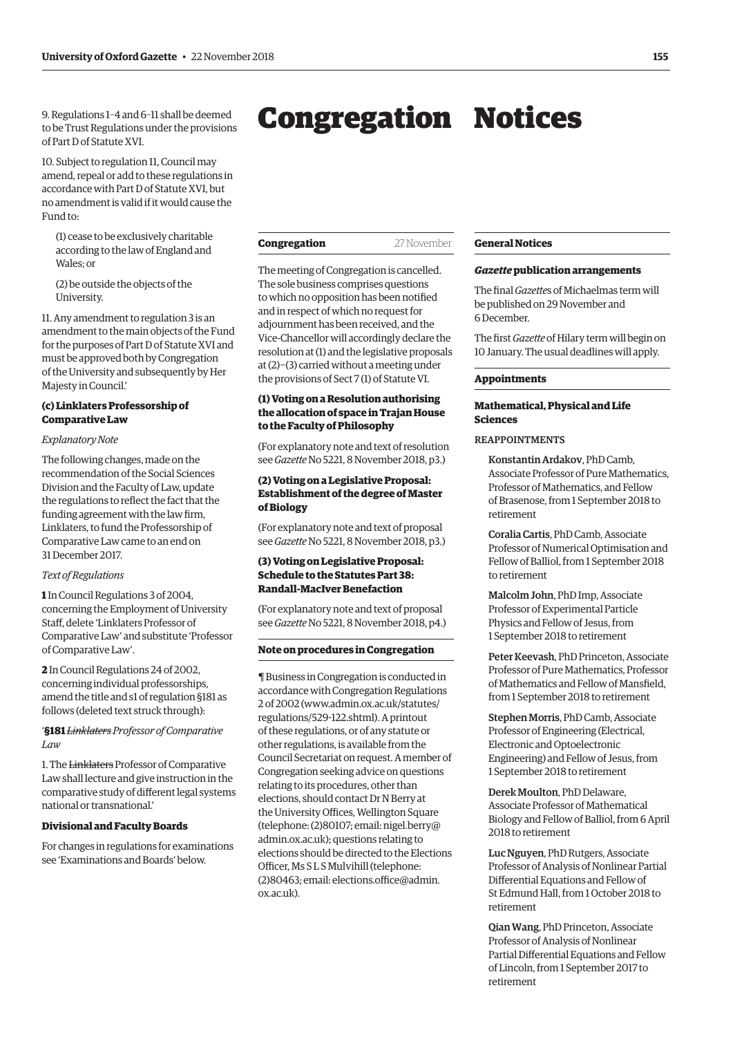<span id="page-2-0"></span>9. Regulations 1–4 and 6–11 shall be deemed to be Trust Regulations under the provisions of Part D of Statute XVI.

10. Subject to regulation 11, Council may amend, repeal or add to these regulations in accordance with Part D of Statute XVI, but no amendment is valid if it would cause the Fund to:

(1) cease to be exclusively charitable according to the law of England and Wales; or

(2) be outside the objects of the University.

11. Any amendment to regulation 3 is an amendment to the main objects of the Fund for the purposes of Part D of Statute XVI and must be approved both by Congregation of the University and subsequently by Her Majesty in Council.'

#### **(c) Linklaters Professorship of Comparative Law**

#### *Explanatory Note*

The following changes, made on the recommendation of the Social Sciences Division and the Faculty of Law, update the regulations to reflect the fact that the funding agreement with the law firm, Linklaters, to fund the Professorship of Comparative Law came to an end on 31 December 2017.

#### *Text of Regulations*

**1** In Council Regulations 3 of 2004, concerning the Employment of University Staff, delete 'Linklaters Professor of Comparative Law' and substitute 'Professor of Comparative Law'.

**2** In Council Regulations 24 of 2002, concerning individual professorships, amend the title and s1 of regulation §181 as follows (deleted text struck through):

'**§181** *Linklaters Professor of Comparative Law*

1. The Linklaters Professor of Comparative Law shall lecture and give instruction in the comparative study of different legal systems national or transnational.'

#### **Divisional and Faculty Boards**

For changes in regulations for examinations see 'Examinations and Boards' below.

| Congregation | 27 November |
|--------------|-------------|
|--------------|-------------|

The meeting of Congregation is cancelled. The sole business comprises questions to which no opposition has been notified and in respect of which no request for adjournment has been received, and the Vice-Chancellor will accordingly declare the resolution at (1) and the legislative proposals at (2)−(3) carried without a meeting under the provisions of Sect 7 (1) of Statute VI.

#### **(1) Voting on a Resolution authorising the allocation of space in Trajan House to the Faculty of Philosophy**

(For explanatory note and text of resolution see *Gazette* [No 5221, 8 November 2018, p3.\)](https://gazette.web.ox.ac.uk/sites/default/files/gazette/documents/media/8_november_2018_-_no_5221_redacted.pdf#page=3)

#### **(2) Voting on a Legislative Proposal: Establishment of the degree of Master of Biology**

(For explanatory note and text of proposal see *Gazette* [No 5221, 8 November 2018, p3.\)](https://gazette.web.ox.ac.uk/sites/default/files/gazette/documents/media/8_november_2018_-_no_5221_redacted.pdf#page=3)

#### **(3) Voting on Legislative Proposal: Schedule to the Statutes Part 38: Randall-MacIver Benefaction**

(For explanatory note and text of proposal see *Gazette* [No 5221, 8 November 2018, p4.\)](https://gazette.web.ox.ac.uk/sites/default/files/gazette/documents/media/8_november_2018_-_no_5221_redacted.pdf#page=4)

#### **Note on procedures in Congregation**

¶ Business in Congregation is conducted in accordance with Congregation Regulations 2 of 2002 [\(www.admin.ox.ac.uk/statutes/](http://www.admin.ox.ac.uk/statutes/regulations/529-122.shtml) [regulations/529-122.shtml\). A p](http://www.admin.ox.ac.uk/statutes/regulations/529-122.shtml)rintout of these regulations, or of any statute or other regulations, is available from the Council Secretariat on request. A member of Congregation seeking advice on questions relating to its procedures, other than elections, should contact Dr N Berry at the University Offices, Wellington Square [\(telephone: \(2\)80107; email: nigel.berry@](mailto:nigel.berry@admin.ox.ac.uk) admin.ox.ac.uk); questions relating to elections should be directed to the Elections Officer, Ms S L S Mulvihill (telephone: [\(2\)80463; email: elections.office@admin.](mailto:elections.office@admin.ox.ac.uk) ox.ac.uk).

#### **General Notices**

#### *Gazette* **publication arrangements**

The final *Gazette*s of Michaelmas term will be published on 29 November and 6 December.

The first *Gazette* of Hilary term will begin on 10 January. The usual deadlines will apply.

#### **Appointments**

#### **Mathematical, Physical and Life Sciences**

#### REAPPOINTMENTS

Konstantin Ardakov, PhD Camb, Associate Professor of Pure Mathematics, Professor of Mathematics, and Fellow of Brasenose, from 1 September 2018 to retirement

Coralia Cartis, PhD Camb, Associate Professor of Numerical Optimisation and Fellow of Balliol, from 1 September 2018 to retirement

Malcolm John, PhD Imp, Associate Professor of Experimental Particle Physics and Fellow of Jesus, from 1 September 2018 to retirement

Peter Keevash, PhD Princeton, Associate Professor of Pure Mathematics, Professor of Mathematics and Fellow of Mansfield, from 1 September 2018 to retirement

Stephen Morris, PhD Camb, Associate Professor of Engineering (Electrical, Electronic and Optoelectronic Engineering) and Fellow of Jesus, from 1 September 2018 to retirement

Derek Moulton, PhD Delaware, Associate Professor of Mathematical Biology and Fellow of Balliol, from 6 April 2018 to retirement

Luc Nguyen, PhD Rutgers, Associate Professor of Analysis of Nonlinear Partial Differential Equations and Fellow of St Edmund Hall, from 1 October 2018 to retirement

Qian Wang, PhD Princeton, Associate Professor of Analysis of Nonlinear Partial Differential Equations and Fellow of Lincoln, from 1 September 2017 to retirement

## Congregation Notices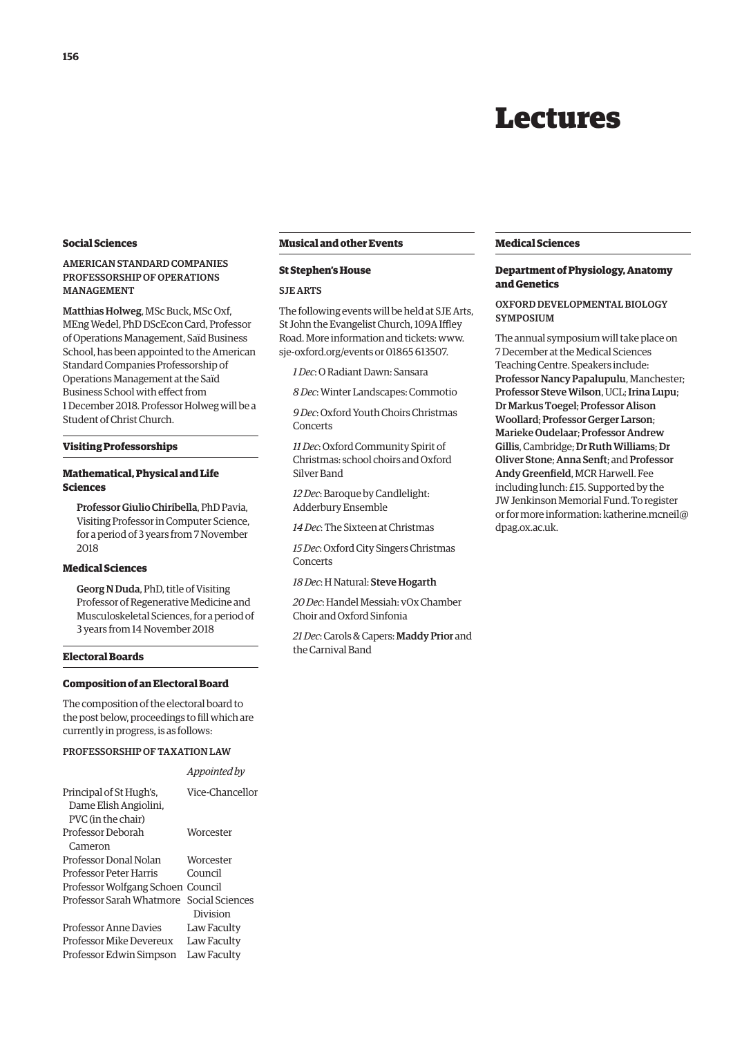### Lectures

#### <span id="page-3-0"></span>**Social Sciences**

#### AMERICAN STANDARD COMPANIES PROFESSORSHIP OF OPERATIONS MANAGEMENT

Matthias Holweg, MSc Buck, MSc Oxf, MEng Wedel, PhD DScEcon Card, Professor of Operations Management, Saïd Business School, has been appointed to the American Standard Companies Professorship of Operations Management at the Saïd Business School with effect from 1 December 2018. Professor Holweg will be a Student of Christ Church.

#### **Visiting Professorships**

#### **Mathematical, Physical and Life Sciences**

Professor Giulio Chiribella, PhD Pavia, Visiting Professor in Computer Science, for a period of 3 years from 7 November 2018

#### **Medical Sciences**

Georg N Duda, PhD, title of Visiting Professor of Regenerative Medicine and Musculoskeletal Sciences, for a period of 3 years from 14 November 2018

#### **Electoral Boards**

#### **Composition of an Electoral Board**

The composition of the electoral board to the post below, proceedings to fill which are currently in progress, is as follows:

*Appointed by*

#### PROFESSORSHIP OF TAXATION LAW

|                                                  | $\mu$           |
|--------------------------------------------------|-----------------|
| Principal of St Hugh's,<br>Dame Elish Angiolini, | Vice-Chancellor |
|                                                  |                 |
| PVC (in the chair)                               |                 |
| Professor Deborah                                | Worcester       |
| Cameron                                          |                 |
| Professor Donal Nolan                            | Worcester       |
| Professor Peter Harris                           | Council         |
| Professor Wolfgang Schoen Council                |                 |
| Professor Sarah Whatmore                         | Social Sciences |
|                                                  | Division        |
| <b>Professor Anne Davies</b>                     | Law Faculty     |
| <b>Professor Mike Devereux</b>                   | Law Faculty     |
| Professor Edwin Simpson                          | Law Faculty     |
|                                                  |                 |

#### **Musical and other Events**

#### **St Stephen's House**

#### SJE ARTS

The following events will be held at SJE Arts, St John the Evangelist Church, 109A Iffley Road. More information and tickets: [www.](http://www.sje-oxford.org/events) [sje-oxford.org/events or](http://www.sje-oxford.org/events) 01865 613507.

*1 Dec*: O Radiant Dawn: Sansara

*8 Dec*: Winter Landscapes: Commotio

*9 Dec*: Oxford Youth Choirs Christmas Concerts

*11 Dec*: Oxford Community Spirit of Christmas: school choirs and Oxford Silver Band

*12 Dec*: Baroque by Candlelight: Adderbury Ensemble

*14 Dec*: The Sixteen at Christmas

*15 Dec*: Oxford City Singers Christmas Concerts

*18 Dec*: H Natural: Steve Hogarth

*20 Dec*: Handel Messiah: vOx Chamber Choir and Oxford Sinfonia

*21 Dec*: Carols & Capers: Maddy Prior and the Carnival Band

#### **Medical Sciences**

#### **Department of Physiology, Anatomy and Genetics**

#### OXFORD DEVELOPMENTAL BIOLOGY SYMPOSIUM

The annual symposium will take place on 7 December at the Medical Sciences Teaching Centre. Speakers include: Professor Nancy Papalupulu, Manchester; Professor Steve Wilson, UCL; Irina Lupu; Dr Markus Toegel; Professor Alison Woollard; Professor Gerger Larson; Marieke Oudelaar; Professor Andrew Gillis, Cambridge; Dr Ruth Williams; Dr Oliver Stone; Anna Senft; and Professor Andy Greenfield, MCR Harwell. Fee including lunch: £15. Supported by the JW Jenkinson Memorial Fund. To register [or for more information: katherine.mcneil@](mailto:katherine.mcneil@dpag.ox.ac.uk) dpag.ox.ac.uk.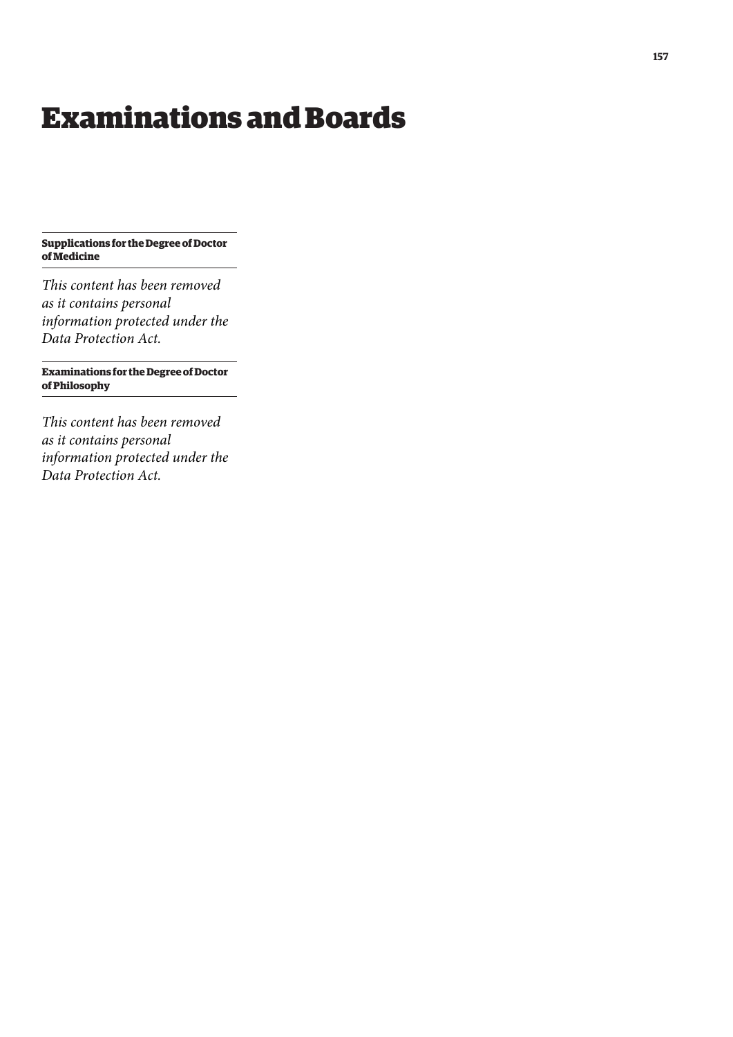## <span id="page-4-0"></span>Examinations and Boards

**Supplications for the Degree of Doctor of Medicine**

*This content has been removed as it contains personal information protected under the Data Protection Act.*

**Examinations for the Degree of Doctor of Philosophy**

*This content has been removed as it contains personal information protected under the Data Protection Act.*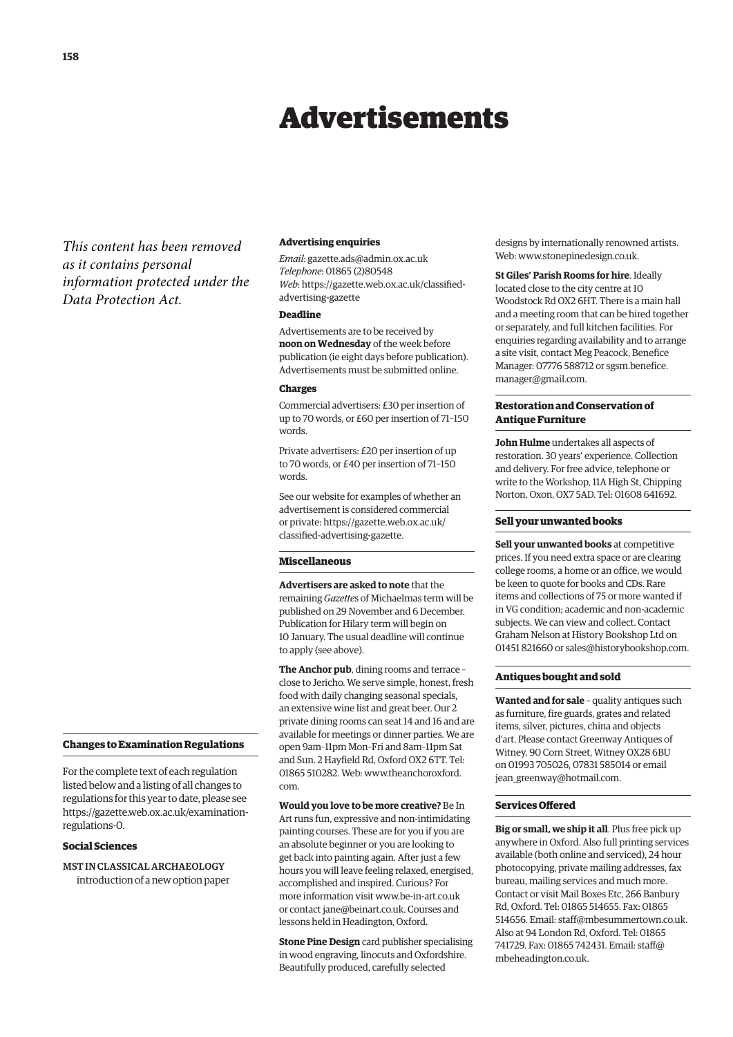## Advertisements

<span id="page-5-0"></span>*This content has been removed as it contains personal information protected under the Data Protection Act.*

#### **Changes to Examination Regulations**

For the complete text of each regulation listed below and a listing of all changes to regulations for this year to date, please see [https://gazette.web.ox.ac.uk/examination](https://gazette.web.ox.ac.uk/examination-regulations-0)regulations-0.

#### **Social Sciences**

MST IN CLASSICAL ARCHAEOLOGY introduction of a new option paper

#### **Advertising enquiries**

*Email*: [gazette.ads@admin.ox.ac.uk](mailto:gazette.ads@admin.ox.ac.uk) *Telephone*: 01865 (2)80548 *Web*[: https://gazette.web.ox.ac.uk/classified](https://gazette.web.ox.ac.uk/classified-advertising-gazette)advertising-gazette

#### **Deadline**

Advertisements are to be received by **noon on Wednesday** of the week before publication (ie eight days before publication). Advertisements must be submitted online.

#### **Charges**

Commercial advertisers: £30 per insertion of up to 70 words, or £60 per insertion of 71–150 words.

Private advertisers: £20 per insertion of up to 70 words, or £40 per insertion of 71–150 words.

See our website for examples of whether an advertisement is considered commercial [or private: https://gazette.web.ox.ac.uk/](https://gazette.web.ox.ac.uk/classified-advertising-gazette) classified-advertising-gazette.

#### **Miscellaneous**

**Advertisers are asked to note** that the remaining *Gazette*s of Michaelmas term will be published on 29 November and 6 December. Publication for Hilary term will begin on 10 January. The usual deadline will continue to apply (see above).

**The Anchor pub**, dining rooms and terrace – close to Jericho. We serve simple, honest, fresh food with daily changing seasonal specials, an extensive wine list and great beer. Our 2 private dining rooms can seat 14 and 16 and are available for meetings or dinner parties. We are open 9am–11pm Mon–Fri and 8am–11pm Sat and Sun. 2 Hayfield Rd, Oxford OX2 6TT. Tel: [01865 510282. Web: www.theanchoroxford.](www.theanchoroxford.com) com.

#### **Would you love to be more creative?** Be In

Art runs fun, expressive and non-intimidating painting courses. These are for you if you are an absolute beginner or you are looking to get back into painting again. After just a few hours you will leave feeling relaxed, energised, accomplished and inspired. Curious? For more information visit [www.be-in-art.co.uk](http://www.be-in-art.co.uk)  or contact [jane@beinart.co.uk. Co](mailto:jane@beinart.co.uk)urses and lessons held in Headington, Oxford.

**Stone Pine Design** card publisher specialising in wood engraving, linocuts and Oxfordshire. Beautifully produced, carefully selected

designs by internationally renowned artists. Web: [www.stonepinedesign.co.uk.](http://www.stonepinedesign.co.uk)

**St Giles' Parish Rooms for hire**. Ideally located close to the city centre at 10 Woodstock Rd OX2 6HT. There is a main hall and a meeting room that can be hired together or separately, and full kitchen facilities. For enquiries regarding availability and to arrange a site visit, contact Meg Peacock, Benefice [Manager: 07776 588712 or sgsm.benefice.](mailto:sgsm.benefice.manager@gmail.com) manager@gmail.com.

#### **Restoration and Conservation of Antique Furniture**

**John Hulme** undertakes all aspects of restoration. 30 years' experience. Collection and delivery. For free advice, telephone or write to the Workshop, 11A High St, Chipping Norton, Oxon, OX7 5AD. Tel: 01608 641692.

#### **Sell your unwanted books**

**Sell your unwanted books** at competitive prices. If you need extra space or are clearing college rooms, a home or an office, we would be keen to quote for books and CDs. Rare items and collections of 75 or more wanted if in VG condition; academic and non-academic subjects. We can view and collect. Contact Graham Nelson at History Bookshop Ltd on 01451 821660 or [sales@historybookshop.com.](mailto:sales@historybookshop.com)

#### **Antiques bought and sold**

**Wanted and for sale** – quality antiques such as furniture, fire guards, grates and related items, silver, pictures, china and objects d'art. Please contact Greenway Antiques of Witney, 90 Corn Street, Witney OX28 6BU on 01993 705026, 07831 585014 or email jean greenway@hotmail.com.

#### **Services Offered**

**Big or small, we ship it all**. Plus free pick up anywhere in Oxford. Also full printing services available (both online and serviced), 24 hour photocopying, private mailing addresses, fax bureau, mailing services and much more. Contact or visit Mail Boxes Etc, 266 Banbury Rd, Oxford. Tel: 01865 514655. Fax: 01865 514656. Email: [staff@mbesummertown.co.uk.](mailto:staff@mbesummertown.co.uk)  Also at 94 London Rd, Oxford. Tel: 01865 [741729. Fax: 01865 742431. Email: staff@](mailto:staff@mbeheadington.co.uk) mbeheadington.co.uk.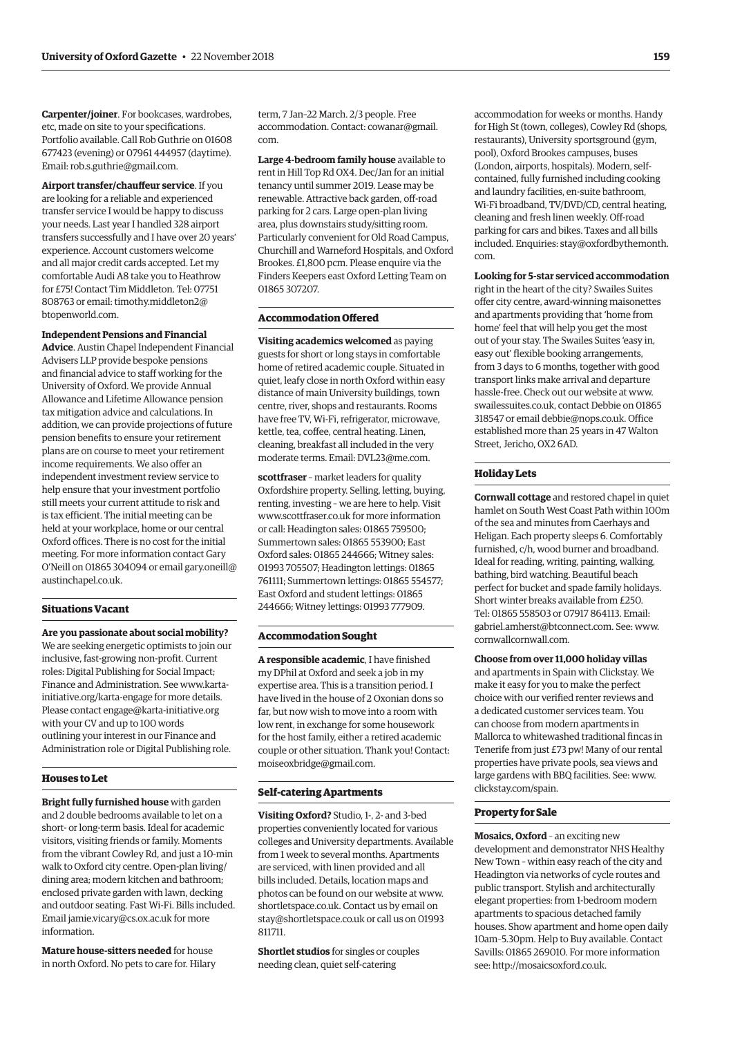**Carpenter/joiner**. For bookcases, wardrobes, etc, made on site to your specifications. Portfolio available. Call Rob Guthrie on 01608 677423 (evening) or 07961 444957 (daytime). Email: [rob.s.guthrie@gmail.com.](mailto:rob.s.guthrie@gmail.com) 

**Airport transfer/chauffeur service**. If you are looking for a reliable and experienced transfer service I would be happy to discuss your needs. Last year I handled 328 airport transfers successfully and I have over 20 years' experience. Account customers welcome and all major credit cards accepted. Let my comfortable Audi A8 take you to Heathrow for £75! Contact Tim Middleton. Tel: 07751 [808763 or email: timothy.middleton2@](mailto:timothy.middleton2@btopenworld.com) btopenworld.com.

#### **Independent Pensions and Financial**

**Advice**. Austin Chapel Independent Financial Advisers LLP provide bespoke pensions and financial advice to staff working for the University of Oxford. We provide Annual Allowance and Lifetime Allowance pension tax mitigation advice and calculations. In addition, we can provide projections of future pension benefits to ensure your retirement plans are on course to meet your retirement income requirements. We also offer an independent investment review service to help ensure that your investment portfolio still meets your current attitude to risk and is tax efficient. The initial meeting can be held at your workplace, home or our central Oxford offices. There is no cost for the initial meeting. For more information contact Gary [O'Neill on 01865 304094 or email gary.oneill@](mailto:gary.oneill@austinchapel.co.uk) austinchapel.co.uk.

#### **Situations Vacant**

**Are you passionate about social mobility?** We are seeking energetic optimists to join our inclusive, fast-growing non-profit. Current roles: Digital Publishing for Social Impact; Finance and Administration. See www.kartainitiative.org/karta-engage for more details. Please contact [engage@karta-initiative.org](mailto:engage@karta-initiative.org)  with your CV and up to 100 words outlining your interest in our Finance and Administration role or Digital Publishing role.

#### **Houses to Let**

**Bright fully furnished house** with garden and 2 double bedrooms available to let on a short- or long-term basis. Ideal for academic visitors, visiting friends or family. Moments from the vibrant Cowley Rd, and just a 10-min walk to Oxford city centre. Open-plan living/ dining area; modern kitchen and bathroom; enclosed private garden with lawn, decking and outdoor seating. Fast Wi-Fi. Bills included. Email [jamie.vicary@cs.ox.ac.uk fo](mailto:jamie.vicary@cs.ox.ac.uk)r more information.

**Mature house-sitters needed** for house in north Oxford. No pets to care for. Hilary term, 7 Jan–22 March. 2/3 people. Free [accommodation. Contact: cowanar@gmail.](mailto:cowanar@gmail.com) com.

**Large 4-bedroom family house** available to rent in Hill Top Rd OX4. Dec/Jan for an initial tenancy until summer 2019. Lease may be renewable. Attractive back garden, off-road parking for 2 cars. Large open-plan living area, plus downstairs study/sitting room. Particularly convenient for Old Road Campus, Churchill and Warneford Hospitals, and Oxford Brookes. £1,800 pcm. Please enquire via the Finders Keepers east Oxford Letting Team on 01865 307207.

#### **Accommodation Offered**

**Visiting academics welcomed** as paying guests for short or long stays in comfortable home of retired academic couple. Situated in quiet, leafy close in north Oxford within easy distance of main University buildings, town centre, river, shops and restaurants. Rooms have free TV, Wi-Fi, refrigerator, microwave, kettle, tea, coffee, central heating. Linen, cleaning, breakfast all included in the very moderate terms. Email: [DVL23@me.com.](mailto:DVL23@me.com)

**scottfraser** – market leaders for quality Oxfordshire property. Selling, letting, buying, renting, investing – we are here to help. Visit [www.scottfraser.co.uk fo](http://www.scottfraser.co.uk)r more information or call: Headington sales: 01865 759500; Summertown sales: 01865 553900; East Oxford sales: 01865 244666; Witney sales: 01993 705507; Headington lettings: 01865 761111; Summertown lettings: 01865 554577; East Oxford and student lettings: 01865 244666; Witney lettings: 01993 777909.

#### **Accommodation Sought**

**A responsible academic**, I have finished my DPhil at Oxford and seek a job in my expertise area. This is a transition period. I have lived in the house of 2 Oxonian dons so far, but now wish to move into a room with low rent, in exchange for some housework for the host family, either a retired academic couple or other situation. Thank you! Contact: [moiseoxbridge@gmail.com.](mailto:moiseoxbridge@gmail.com)

#### **Self-catering Apartments**

**Visiting Oxford?** Studio, 1-, 2- and 3-bed properties conveniently located for various colleges and University departments. Available from 1 week to several months. Apartments are serviced, with linen provided and all bills included. Details, location maps and photos can be found on our website at [www.](http://www.shortletspace.co.uk) [shortletspace.co.uk. Co](http://www.shortletspace.co.uk)ntact us by email on [stay@shortletspace.co.uk or](mailto:stay@shortletspace.co.uk) call us on 01993 811711.

**Shortlet studios** for singles or couples needing clean, quiet self-catering

accommodation for weeks or months. Handy for High St (town, colleges), Cowley Rd (shops, restaurants), University sportsground (gym, pool), Oxford Brookes campuses, buses (London, airports, hospitals). Modern, selfcontained, fully furnished including cooking and laundry facilities, en-suite bathroom, Wi-Fi broadband, TV/DVD/CD, central heating, cleaning and fresh linen weekly. Off-road parking for cars and bikes. Taxes and all bills [included. Enquiries: stay@oxfordbythemonth.](mailto:stay@oxfordbythemonth.com) com.

#### **Looking for 5-star serviced accommodation**

right in the heart of the city? Swailes Suites offer city centre, award-winning maisonettes and apartments providing that 'home from home' feel that will help you get the most out of your stay. The Swailes Suites 'easy in, easy out' flexible booking arrangements, from 3 days to 6 months, together with good transport links make arrival and departure hassle-free. Check out our website at [www.](http://www.swailessuites.co.uk) [swailessuites.co.uk, co](http://www.swailessuites.co.uk)ntact Debbie on 01865 318547 or email [debbie@nops.co.uk. Of](mailto:debbie@nops.co.uk)fice established more than 25 years in 47 Walton Street, Jericho, OX2 6AD.

#### **Holiday Lets**

**Cornwall cottage** and restored chapel in quiet hamlet on South West Coast Path within 100m of the sea and minutes from Caerhays and Heligan. Each property sleeps 6. Comfortably furnished, c/h, wood burner and broadband. Ideal for reading, writing, painting, walking, bathing, bird watching. Beautiful beach perfect for bucket and spade family holidays. Short winter breaks available from £250. Tel: 01865 558503 or 07917 864113. Email: [gabriel.amherst@btconnect.com. Se](mailto:gabriel.amherst@btconnect.com)e: [www.](http://www.cornwallcornwall.com) [cornwallcornwall.com.](http://www.cornwallcornwall.com)

#### **Choose from over 11,000 holiday villas**

and apartments in Spain with Clickstay. We make it easy for you to make the perfect choice with our verified renter reviews and a dedicated customer services team. You can choose from modern apartments in Mallorca to whitewashed traditional fincas in Tenerife from just £73 pw! Many of our rental properties have private pools, sea views and large gardens with BBQ facilities. See: [www.](http://www.clickstay.com/spain) [clickstay.com/spain.](http://www.clickstay.com/spain)

#### **Property for Sale**

**Mosaics, Oxford** – an exciting new development and demonstrator NHS Healthy New Town – within easy reach of the city and Headington via networks of cycle routes and public transport. Stylish and architecturally elegant properties: from 1-bedroom modern apartments to spacious detached family houses. Show apartment and home open daily 10am–5.30pm. Help to Buy available. Contact Savills: 01865 269010. For more information see: [http://mosaicsoxford.co.uk.](http://mosaicsoxford.co.uk)